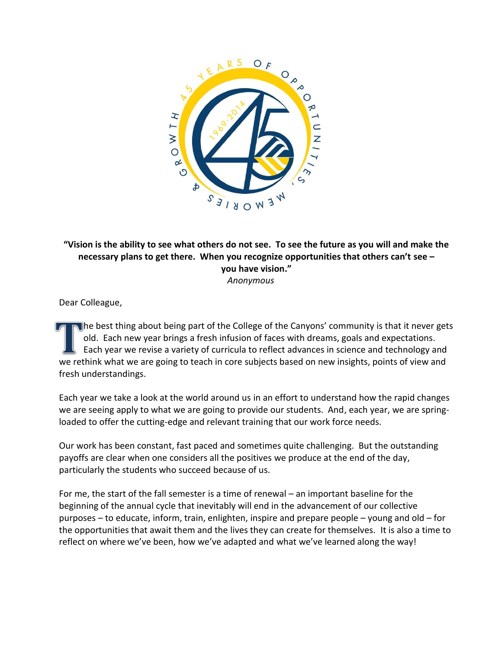

**"Vision is the ability to see what others do not see. To see the future as you will and make the necessary plans to get there. When you recognize opportunities that others can't see – you have vision."** *Anonymous*

Dear Colleague,

The best thing about being part of the College of the Canyons' community is that it never gets old. Each new year brings a fresh infusion of faces with dreams, goals and expectations. Each year we revise a variety of curricula to reflect advances in science and technology and we rethink what we are going to teach in core subjects based on new insights, points of view and fresh understandings.

Each year we take a look at the world around us in an effort to understand how the rapid changes we are seeing apply to what we are going to provide our students. And, each year, we are springloaded to offer the cutting-edge and relevant training that our work force needs.

Our work has been constant, fast paced and sometimes quite challenging. But the outstanding payoffs are clear when one considers all the positives we produce at the end of the day, particularly the students who succeed because of us.

For me, the start of the fall semester is a time of renewal – an important baseline for the beginning of the annual cycle that inevitably will end in the advancement of our collective purposes – to educate, inform, train, enlighten, inspire and prepare people – young and old – for the opportunities that await them and the lives they can create for themselves. It is also a time to reflect on where we've been, how we've adapted and what we've learned along the way!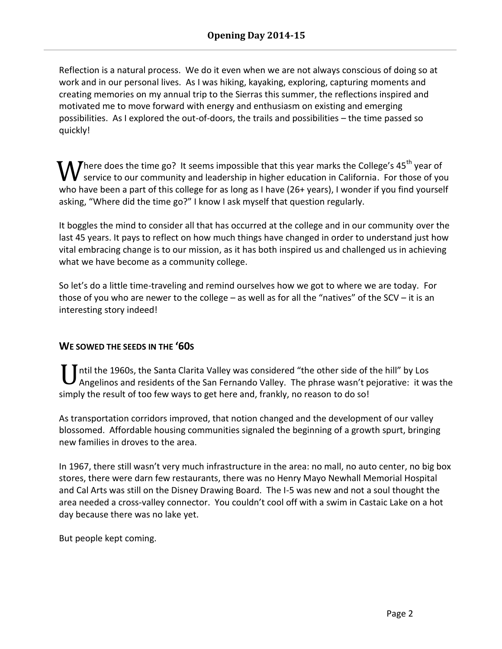Reflection is a natural process. We do it even when we are not always conscious of doing so at work and in our personal lives. As I was hiking, kayaking, exploring, capturing moments and creating memories on my annual trip to the Sierras this summer, the reflections inspired and motivated me to move forward with energy and enthusiasm on existing and emerging possibilities. As I explored the out-of-doors, the trails and possibilities – the time passed so quickly!

Where does the time go? It seems impossible that this year marks the College's  $45^{th}$  year of service to our community and leadership in higher education in California. For those of yo service to our community and leadership in higher education in California. For those of you who have been a part of this college for as long as I have (26+ years), I wonder if you find yourself asking, "Where did the time go?" I know I ask myself that question regularly.

It boggles the mind to consider all that has occurred at the college and in our community over the last 45 years. It pays to reflect on how much things have changed in order to understand just how vital embracing change is to our mission, as it has both inspired us and challenged us in achieving what we have become as a community college.

So let's do a little time-traveling and remind ourselves how we got to where we are today. For those of you who are newer to the college – as well as for all the "natives" of the SCV – it is an interesting story indeed!

## **WE SOWED THE SEEDS IN THE '60S**

ntil the 1960s, the Santa Clarita Valley was considered "the other side of the hill" by Los U ntil the 1960s, the Santa Clarita Valley was considered "the other side of the hill" by Los<br>Angelinos and residents of the San Fernando Valley. The phrase wasn't pejorative: it was the simply the result of too few ways to get here and, frankly, no reason to do so!

As transportation corridors improved, that notion changed and the development of our valley blossomed. Affordable housing communities signaled the beginning of a growth spurt, bringing new families in droves to the area.

In 1967, there still wasn't very much infrastructure in the area: no mall, no auto center, no big box stores, there were darn few restaurants, there was no Henry Mayo Newhall Memorial Hospital and Cal Arts was still on the Disney Drawing Board. The I-5 was new and not a soul thought the area needed a cross-valley connector. You couldn't cool off with a swim in Castaic Lake on a hot day because there was no lake yet.

But people kept coming.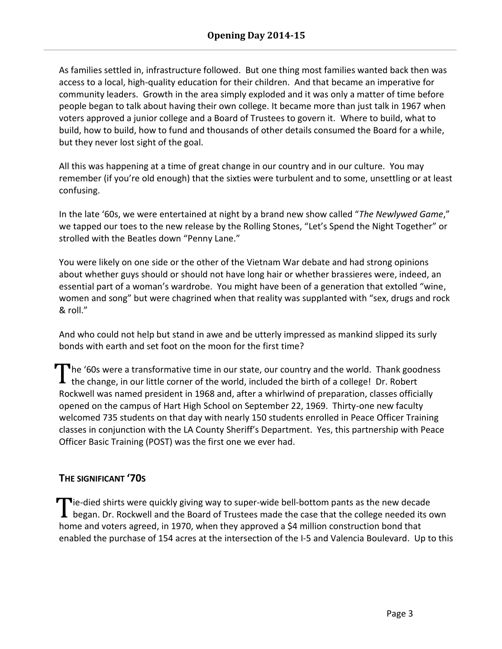As families settled in, infrastructure followed. But one thing most families wanted back then was access to a local, high-quality education for their children. And that became an imperative for community leaders. Growth in the area simply exploded and it was only a matter of time before people began to talk about having their own college. It became more than just talk in 1967 when voters approved a junior college and a Board of Trustees to govern it. Where to build, what to build, how to build, how to fund and thousands of other details consumed the Board for a while, but they never lost sight of the goal.

All this was happening at a time of great change in our country and in our culture. You may remember (if you're old enough) that the sixties were turbulent and to some, unsettling or at least confusing.

In the late '60s, we were entertained at night by a brand new show called "*The Newlywed Game*," we tapped our toes to the new release by the Rolling Stones, "Let's Spend the Night Together" or strolled with the Beatles down "Penny Lane."

You were likely on one side or the other of the Vietnam War debate and had strong opinions about whether guys should or should not have long hair or whether brassieres were, indeed, an essential part of a woman's wardrobe. You might have been of a generation that extolled "wine, women and song" but were chagrined when that reality was supplanted with "sex, drugs and rock & roll."

And who could not help but stand in awe and be utterly impressed as mankind slipped its surly bonds with earth and set foot on the moon for the first time?

The '60s were a transformative time in our state, our country and the world. Thank goodness The '60s were a transformative time in our state, our country and the world. Thank good the change, in our little corner of the world, included the birth of a college! Dr. Robert Rockwell was named president in 1968 and, after a whirlwind of preparation, classes officially opened on the campus of Hart High School on September 22, 1969. Thirty-one new faculty welcomed 735 students on that day with nearly 150 students enrolled in Peace Officer Training classes in conjunction with the LA County Sheriff's Department. Yes, this partnership with Peace Officer Basic Training (POST) was the first one we ever had.

## **THE SIGNIFICANT '70S**

 $\blacksquare$ ie-died shirts were quickly giving way to super-wide bell-bottom pants as the new decade Tie-died shirts were quickly giving way to super-wide bell-bottom pants as the new decade<br>began. Dr. Rockwell and the Board of Trustees made the case that the college needed its own home and voters agreed, in 1970, when they approved a \$4 million construction bond that enabled the purchase of 154 acres at the intersection of the I-5 and Valencia Boulevard. Up to this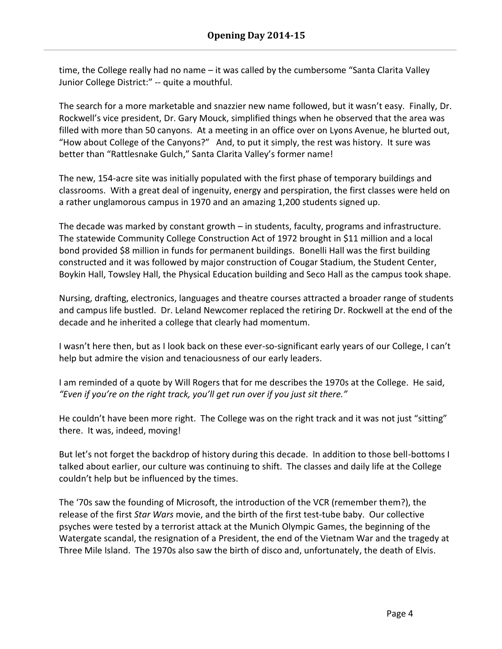time, the College really had no name – it was called by the cumbersome "Santa Clarita Valley Junior College District:" -- quite a mouthful.

The search for a more marketable and snazzier new name followed, but it wasn't easy. Finally, Dr. Rockwell's vice president, Dr. Gary Mouck, simplified things when he observed that the area was filled with more than 50 canyons. At a meeting in an office over on Lyons Avenue, he blurted out, "How about College of the Canyons?" And, to put it simply, the rest was history. It sure was better than "Rattlesnake Gulch," Santa Clarita Valley's former name!

The new, 154-acre site was initially populated with the first phase of temporary buildings and classrooms. With a great deal of ingenuity, energy and perspiration, the first classes were held on a rather unglamorous campus in 1970 and an amazing 1,200 students signed up.

The decade was marked by constant growth – in students, faculty, programs and infrastructure. The statewide Community College Construction Act of 1972 brought in \$11 million and a local bond provided \$8 million in funds for permanent buildings. Bonelli Hall was the first building constructed and it was followed by major construction of Cougar Stadium, the Student Center, Boykin Hall, Towsley Hall, the Physical Education building and Seco Hall as the campus took shape.

Nursing, drafting, electronics, languages and theatre courses attracted a broader range of students and campus life bustled. Dr. Leland Newcomer replaced the retiring Dr. Rockwell at the end of the decade and he inherited a college that clearly had momentum.

I wasn't here then, but as I look back on these ever-so-significant early years of our College, I can't help but admire the vision and tenaciousness of our early leaders.

I am reminded of a quote by Will Rogers that for me describes the 1970s at the College. He said, *"Even if you're on the right track, you'll get run over if you just sit there."*

He couldn't have been more right. The College was on the right track and it was not just "sitting" there. It was, indeed, moving!

But let's not forget the backdrop of history during this decade. In addition to those bell-bottoms I talked about earlier, our culture was continuing to shift. The classes and daily life at the College couldn't help but be influenced by the times.

The '70s saw the founding of Microsoft, the introduction of the VCR (remember them?), the release of the first *Star Wars* movie, and the birth of the first test-tube baby. Our collective psyches were tested by a terrorist attack at the Munich Olympic Games, the beginning of the Watergate scandal, the resignation of a President, the end of the Vietnam War and the tragedy at Three Mile Island. The 1970s also saw the birth of disco and, unfortunately, the death of Elvis.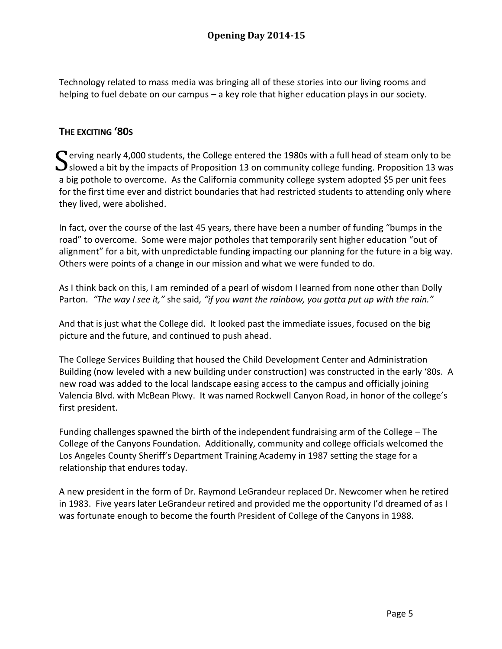Technology related to mass media was bringing all of these stories into our living rooms and helping to fuel debate on our campus – a key role that higher education plays in our society.

## **THE EXCITING '80S**

Serving nearly 4,000 students, the College entered the 1980s with a full head of steam only to be Slowed a bit by the impacts of Proposition 13 on community college funding. Proposition 13 was  $\mathbf{\mathbf{J}}$ slowed a bit by the impacts of Proposition 13 on community college funding. Proposition 13 was a big pothole to overcome. As the California community college system adopted \$5 per unit fees for the first time ever and district boundaries that had restricted students to attending only where they lived, were abolished.

In fact, over the course of the last 45 years, there have been a number of funding "bumps in the road" to overcome. Some were major potholes that temporarily sent higher education "out of alignment" for a bit, with unpredictable funding impacting our planning for the future in a big way. Others were points of a change in our mission and what we were funded to do.

As I think back on this, I am reminded of a pearl of wisdom I learned from none other than Dolly Parton*. "The way I see it,"* she said*, "if you want the rainbow, you gotta put up with the rain."*

And that is just what the College did. It looked past the immediate issues, focused on the big picture and the future, and continued to push ahead.

The College Services Building that housed the Child Development Center and Administration Building (now leveled with a new building under construction) was constructed in the early '80s. A new road was added to the local landscape easing access to the campus and officially joining Valencia Blvd. with McBean Pkwy. It was named Rockwell Canyon Road, in honor of the college's first president.

Funding challenges spawned the birth of the independent fundraising arm of the College – The College of the Canyons Foundation. Additionally, community and college officials welcomed the Los Angeles County Sheriff's Department Training Academy in 1987 setting the stage for a relationship that endures today.

A new president in the form of Dr. Raymond LeGrandeur replaced Dr. Newcomer when he retired in 1983. Five years later LeGrandeur retired and provided me the opportunity I'd dreamed of as I was fortunate enough to become the fourth President of College of the Canyons in 1988.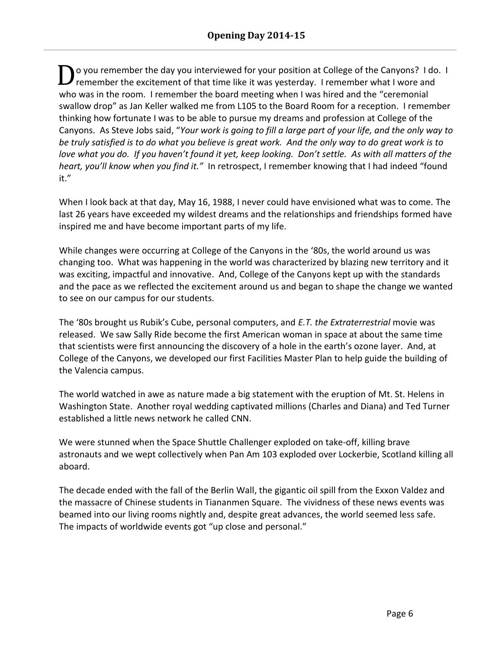o you remember the day you interviewed for your position at College of the Canyons? I do. I remember the excitement of that time like it was yesterday. I remember what I wore and who was in the room. I remember the board meeting when I was hired and the "ceremonial swallow drop" as Jan Keller walked me from L105 to the Board Room for a reception. I remember thinking how fortunate I was to be able to pursue my dreams and profession at College of the Canyons. As Steve Jobs said, "*Your work is going to fill a large part of your life, and the only way to be truly satisfied is to do what you believe is great work. And the only way to do great work is to love what you do. If you haven't found it yet, keep looking. Don't settle. As with all matters of the heart, you'll know when you find it."* In retrospect, I remember knowing that I had indeed "found it." D

When I look back at that day, May 16, 1988, I never could have envisioned what was to come. The last 26 years have exceeded my wildest dreams and the relationships and friendships formed have inspired me and have become important parts of my life.

While changes were occurring at College of the Canyons in the '80s, the world around us was changing too. What was happening in the world was characterized by blazing new territory and it was exciting, impactful and innovative. And, College of the Canyons kept up with the standards and the pace as we reflected the excitement around us and began to shape the change we wanted to see on our campus for our students.

The '80s brought us Rubik's Cube, personal computers, and *E.T. the Extraterrestrial* movie was released. We saw Sally Ride become the first American woman in space at about the same time that scientists were first announcing the discovery of a hole in the earth's ozone layer. And, at College of the Canyons, we developed our first Facilities Master Plan to help guide the building of the Valencia campus.

The world watched in awe as nature made a big statement with the eruption of Mt. St. Helens in Washington State. Another royal wedding captivated millions (Charles and Diana) and Ted Turner established a little news network he called CNN.

We were stunned when the Space Shuttle Challenger exploded on take-off, killing brave astronauts and we wept collectively when Pan Am 103 exploded over Lockerbie, Scotland killing all aboard.

The decade ended with the fall of the Berlin Wall, the gigantic oil spill from the Exxon Valdez and the massacre of Chinese students in Tiananmen Square. The vividness of these news events was beamed into our living rooms nightly and, despite great advances, the world seemed less safe. The impacts of worldwide events got "up close and personal."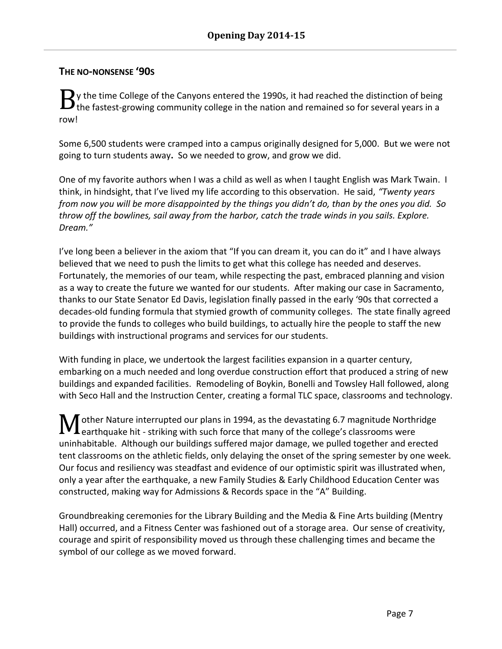### **THE NO-NONSENSE '90S**

y the time College of the Canyons entered the 1990s, it had reached the distinction of being  $B_{\scriptstyle\textrm{the}}$  the time College of the Canyons entered the 1990s, it had reached the distinction of being the fastest-growing community college in the nation and remained so for several years in a row!

Some 6,500 students were cramped into a campus originally designed for 5,000. But we were not going to turn students away**.** So we needed to grow, and grow we did.

One of my favorite authors when I was a child as well as when I taught English was Mark Twain. I think, in hindsight, that I've lived my life according to this observation. He said, *"Twenty years from now you will be more disappointed by the things you didn't do, than by the ones you did. So throw off the bowlines, sail away from the harbor, catch the trade winds in you sails. Explore. Dream."*

I've long been a believer in the axiom that "If you can dream it, you can do it" and I have always believed that we need to push the limits to get what this college has needed and deserves. Fortunately, the memories of our team, while respecting the past, embraced planning and vision as a way to create the future we wanted for our students. After making our case in Sacramento, thanks to our State Senator Ed Davis, legislation finally passed in the early '90s that corrected a decades-old funding formula that stymied growth of community colleges. The state finally agreed to provide the funds to colleges who build buildings, to actually hire the people to staff the new buildings with instructional programs and services for our students.

With funding in place, we undertook the largest facilities expansion in a quarter century, embarking on a much needed and long overdue construction effort that produced a string of new buildings and expanded facilities. Remodeling of Boykin, Bonelli and Towsley Hall followed, along with Seco Hall and the Instruction Center, creating a formal TLC space, classrooms and technology.

other Nature interrupted our plans in 1994, as the devastating 6.7 magnitude Northridge **L** earthquake hit - striking with such force that many of the college's classrooms were uninhabitable. Although our buildings suffered major damage, we pulled together and erected tent classrooms on the athletic fields, only delaying the onset of the spring semester by one week. Our focus and resiliency was steadfast and evidence of our optimistic spirit was illustrated when, only a year after the earthquake, a new Family Studies & Early Childhood Education Center was constructed, making way for Admissions & Records space in the "A" Building. M

Groundbreaking ceremonies for the Library Building and the Media & Fine Arts building (Mentry Hall) occurred, and a Fitness Center was fashioned out of a storage area. Our sense of creativity, courage and spirit of responsibility moved us through these challenging times and became the symbol of our college as we moved forward.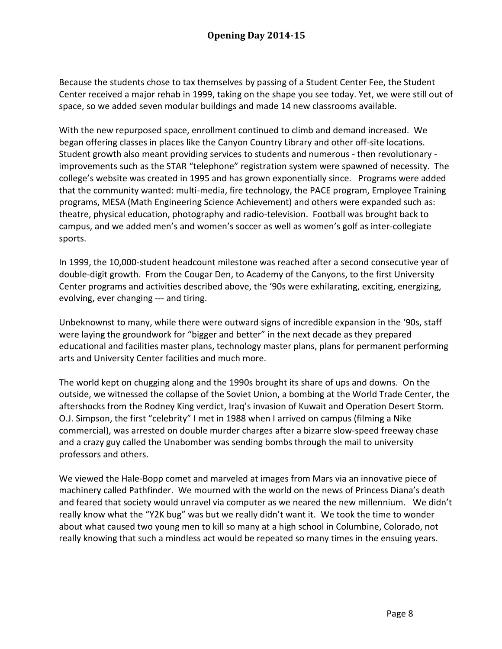Because the students chose to tax themselves by passing of a Student Center Fee, the Student Center received a major rehab in 1999, taking on the shape you see today. Yet, we were still out of space, so we added seven modular buildings and made 14 new classrooms available.

With the new repurposed space, enrollment continued to climb and demand increased. We began offering classes in places like the Canyon Country Library and other off-site locations. Student growth also meant providing services to students and numerous - then revolutionary improvements such as the STAR "telephone" registration system were spawned of necessity. The college's website was created in 1995 and has grown exponentially since. Programs were added that the community wanted: multi-media, fire technology, the PACE program, Employee Training programs, MESA (Math Engineering Science Achievement) and others were expanded such as: theatre, physical education, photography and radio-television. Football was brought back to campus, and we added men's and women's soccer as well as women's golf as inter-collegiate sports.

In 1999, the 10,000-student headcount milestone was reached after a second consecutive year of double-digit growth. From the Cougar Den, to Academy of the Canyons, to the first University Center programs and activities described above, the '90s were exhilarating, exciting, energizing, evolving, ever changing --- and tiring.

Unbeknownst to many, while there were outward signs of incredible expansion in the '90s, staff were laying the groundwork for "bigger and better" in the next decade as they prepared educational and facilities master plans, technology master plans, plans for permanent performing arts and University Center facilities and much more.

The world kept on chugging along and the 1990s brought its share of ups and downs. On the outside, we witnessed the collapse of the Soviet Union, a bombing at the World Trade Center, the aftershocks from the Rodney King verdict, Iraq's invasion of Kuwait and Operation Desert Storm. O.J. Simpson, the first "celebrity" I met in 1988 when I arrived on campus (filming a Nike commercial), was arrested on double murder charges after a bizarre slow-speed freeway chase and a crazy guy called the Unabomber was sending bombs through the mail to university professors and others.

We viewed the Hale-Bopp comet and marveled at images from Mars via an innovative piece of machinery called Pathfinder. We mourned with the world on the news of Princess Diana's death and feared that society would unravel via computer as we neared the new millennium. We didn't really know what the "Y2K bug" was but we really didn't want it. We took the time to wonder about what caused two young men to kill so many at a high school in Columbine, Colorado, not really knowing that such a mindless act would be repeated so many times in the ensuing years.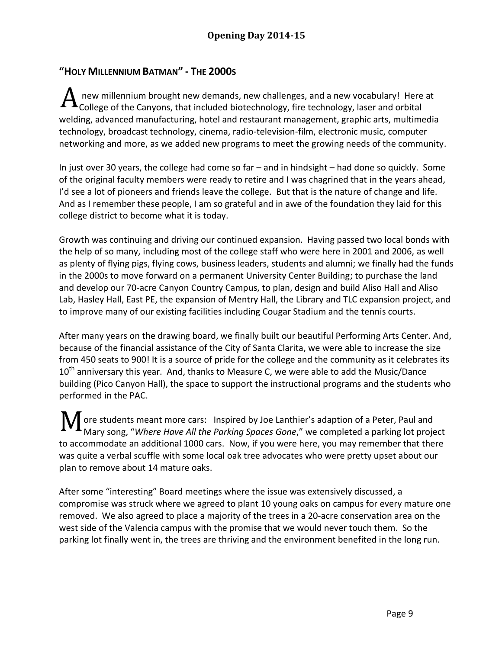# **"HOLY MILLENNIUM BATMAN" - THE 2000S**

new millennium brought new demands, new challenges, and a new vocabulary! Here at  $\rm A$  new millennium brought new demands, new challenges, and a new vocabulary! Here<br>College of the Canyons, that included biotechnology, fire technology, laser and orbital welding, advanced manufacturing, hotel and restaurant management, graphic arts, multimedia technology, broadcast technology, cinema, radio-television-film, electronic music, computer networking and more, as we added new programs to meet the growing needs of the community.

In just over 30 years, the college had come so far – and in hindsight – had done so quickly. Some of the original faculty members were ready to retire and I was chagrined that in the years ahead, I'd see a lot of pioneers and friends leave the college. But that is the nature of change and life. And as I remember these people, I am so grateful and in awe of the foundation they laid for this college district to become what it is today.

Growth was continuing and driving our continued expansion. Having passed two local bonds with the help of so many, including most of the college staff who were here in 2001 and 2006, as well as plenty of flying pigs, flying cows, business leaders, students and alumni; we finally had the funds in the 2000s to move forward on a permanent University Center Building; to purchase the land and develop our 70-acre Canyon Country Campus, to plan, design and build Aliso Hall and Aliso Lab, Hasley Hall, East PE, the expansion of Mentry Hall, the Library and TLC expansion project, and to improve many of our existing facilities including Cougar Stadium and the tennis courts.

After many years on the drawing board, we finally built our beautiful Performing Arts Center. And, because of the financial assistance of the City of Santa Clarita, we were able to increase the size from 450 seats to 900! It is a source of pride for the college and the community as it celebrates its  $10<sup>th</sup>$  anniversary this year. And, thanks to Measure C, we were able to add the Music/Dance building (Pico Canyon Hall), the space to support the instructional programs and the students who performed in the PAC.

ore students meant more cars: Inspired by Joe Lanthier's adaption of a Peter, Paul and Mary song, "*Where Have All the Parking Spaces Gone*," we completed a parking lot project to accommodate an additional 1000 cars. Now, if you were here, you may remember that there was quite a verbal scuffle with some local oak tree advocates who were pretty upset about our plan to remove about 14 mature oaks. M

After some "interesting" Board meetings where the issue was extensively discussed, a compromise was struck where we agreed to plant 10 young oaks on campus for every mature one removed. We also agreed to place a majority of the trees in a 20-acre conservation area on the west side of the Valencia campus with the promise that we would never touch them. So the parking lot finally went in, the trees are thriving and the environment benefited in the long run.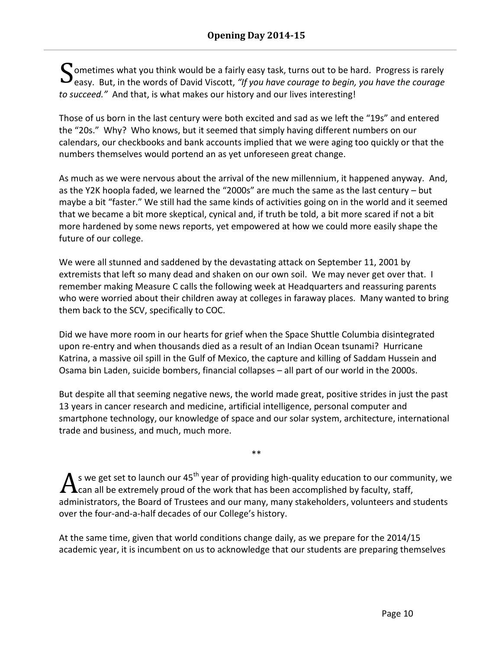$\boldsymbol{\zeta}$  ometimes what you think would be a fairly easy task, turns out to be hard. Progress is rarely Sometimes what you think would be a fairly easy task, turns out to be hard. Progress is rarely easy. But, in the words of David Viscott, *"If you have courage to begin, you have the courage to succeed."* And that, is what makes our history and our lives interesting!

Those of us born in the last century were both excited and sad as we left the "19s" and entered the "20s." Why? Who knows, but it seemed that simply having different numbers on our calendars, our checkbooks and bank accounts implied that we were aging too quickly or that the numbers themselves would portend an as yet unforeseen great change.

As much as we were nervous about the arrival of the new millennium, it happened anyway. And, as the Y2K hoopla faded, we learned the "2000s" are much the same as the last century – but maybe a bit "faster." We still had the same kinds of activities going on in the world and it seemed that we became a bit more skeptical, cynical and, if truth be told, a bit more scared if not a bit more hardened by some news reports, yet empowered at how we could more easily shape the future of our college.

We were all stunned and saddened by the devastating attack on September 11, 2001 by extremists that left so many dead and shaken on our own soil. We may never get over that. I remember making Measure C calls the following week at Headquarters and reassuring parents who were worried about their children away at colleges in faraway places. Many wanted to bring them back to the SCV, specifically to COC.

Did we have more room in our hearts for grief when the Space Shuttle Columbia disintegrated upon re-entry and when thousands died as a result of an Indian Ocean tsunami? Hurricane Katrina, a massive oil spill in the Gulf of Mexico, the capture and killing of Saddam Hussein and Osama bin Laden, suicide bombers, financial collapses – all part of our world in the 2000s.

But despite all that seeming negative news, the world made great, positive strides in just the past 13 years in cancer research and medicine, artificial intelligence, personal computer and smartphone technology, our knowledge of space and our solar system, architecture, international trade and business, and much, much more.

\*\*

 $\mu$  s we get set to launch our 45<sup>th</sup> year of providing high-quality education to our community, we  $\Lambda$ s we get set to launch our 45<sup>th</sup> year of providing high-quality education to our comm<br>Can all be extremely proud of the work that has been accomplished by faculty, staff, administrators, the Board of Trustees and our many, many stakeholders, volunteers and students over the four-and-a-half decades of our College's history.

At the same time, given that world conditions change daily, as we prepare for the 2014/15 academic year, it is incumbent on us to acknowledge that our students are preparing themselves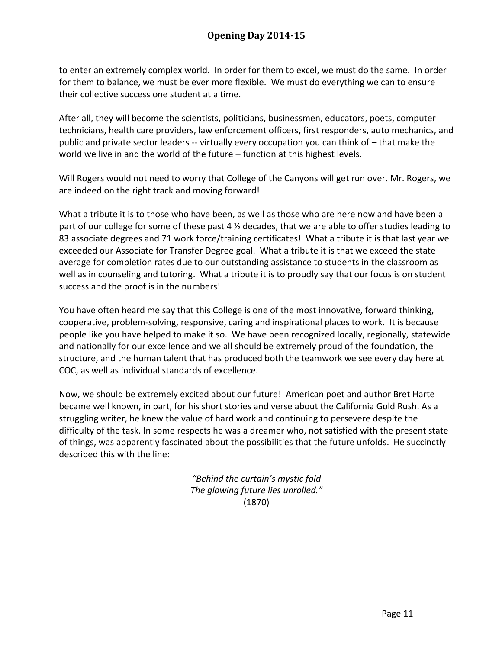to enter an extremely complex world. In order for them to excel, we must do the same. In order for them to balance, we must be ever more flexible. We must do everything we can to ensure their collective success one student at a time.

After all, they will become the scientists, politicians, businessmen, educators, poets, computer technicians, health care providers, law enforcement officers, first responders, auto mechanics, and public and private sector leaders -- virtually every occupation you can think of – that make the world we live in and the world of the future – function at this highest levels.

Will Rogers would not need to worry that College of the Canyons will get run over. Mr. Rogers, we are indeed on the right track and moving forward!

What a tribute it is to those who have been, as well as those who are here now and have been a part of our college for some of these past 4  $\frac{1}{2}$  decades, that we are able to offer studies leading to 83 associate degrees and 71 work force/training certificates! What a tribute it is that last year we exceeded our Associate for Transfer Degree goal. What a tribute it is that we exceed the state average for completion rates due to our outstanding assistance to students in the classroom as well as in counseling and tutoring. What a tribute it is to proudly say that our focus is on student success and the proof is in the numbers!

You have often heard me say that this College is one of the most innovative, forward thinking, cooperative, problem-solving, responsive, caring and inspirational places to work. It is because people like you have helped to make it so. We have been recognized locally, regionally, statewide and nationally for our excellence and we all should be extremely proud of the foundation, the structure, and the human talent that has produced both the teamwork we see every day here at COC, as well as individual standards of excellence.

Now, we should be extremely excited about our future! American poet and author Bret Harte became well known, in part, for his short stories and verse about the California Gold Rush. As a struggling writer, he knew the value of hard work and continuing to persevere despite the difficulty of the task. In some respects he was a dreamer who, not satisfied with the present state of things, was apparently fascinated about the possibilities that the future unfolds. He succinctly described this with the line:

> *"Behind the curtain's mystic fold The glowing future lies unrolled."* (1870)